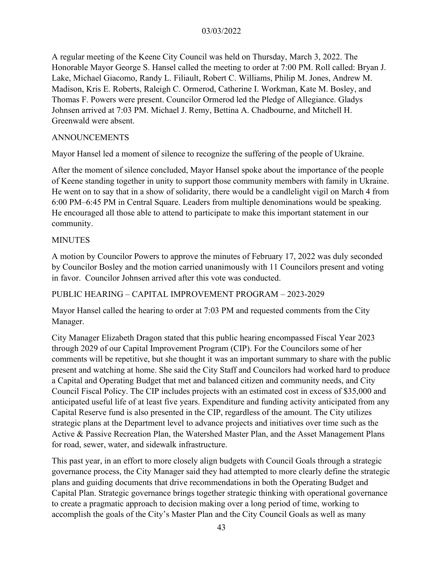A regular meeting of the Keene City Council was held on Thursday, March 3, 2022. The Honorable Mayor George S. Hansel called the meeting to order at 7:00 PM. Roll called: Bryan J. Lake, Michael Giacomo, Randy L. Filiault, Robert C. Williams, Philip M. Jones, Andrew M. Madison, Kris E. Roberts, Raleigh C. Ormerod, Catherine I. Workman, Kate M. Bosley, and Thomas F. Powers were present. Councilor Ormerod led the Pledge of Allegiance. Gladys Johnsen arrived at 7:03 PM. Michael J. Remy, Bettina A. Chadbourne, and Mitchell H. Greenwald were absent.

### ANNOUNCEMENTS

Mayor Hansel led a moment of silence to recognize the suffering of the people of Ukraine.

After the moment of silence concluded, Mayor Hansel spoke about the importance of the people of Keene standing together in unity to support those community members with family in Ukraine. He went on to say that in a show of solidarity, there would be a candlelight vigil on March 4 from 6:00 PM–6:45 PM in Central Square. Leaders from multiple denominations would be speaking. He encouraged all those able to attend to participate to make this important statement in our community.

#### MINUTES

A motion by Councilor Powers to approve the minutes of February 17, 2022 was duly seconded by Councilor Bosley and the motion carried unanimously with 11 Councilors present and voting in favor. Councilor Johnsen arrived after this vote was conducted.

### PUBLIC HEARING – CAPITAL IMPROVEMENT PROGRAM – 2023-2029

Mayor Hansel called the hearing to order at 7:03 PM and requested comments from the City Manager.

City Manager Elizabeth Dragon stated that this public hearing encompassed Fiscal Year 2023 through 2029 of our Capital Improvement Program (CIP). For the Councilors some of her comments will be repetitive, but she thought it was an important summary to share with the public present and watching at home. She said the City Staff and Councilors had worked hard to produce a Capital and Operating Budget that met and balanced citizen and community needs, and City Council Fiscal Policy. The CIP includes projects with an estimated cost in excess of \$35,000 and anticipated useful life of at least five years. Expenditure and funding activity anticipated from any Capital Reserve fund is also presented in the CIP, regardless of the amount. The City utilizes strategic plans at the Department level to advance projects and initiatives over time such as the Active & Passive Recreation Plan, the Watershed Master Plan, and the Asset Management Plans for road, sewer, water, and sidewalk infrastructure.

This past year, in an effort to more closely align budgets with Council Goals through a strategic governance process, the City Manager said they had attempted to more clearly define the strategic plans and guiding documents that drive recommendations in both the Operating Budget and Capital Plan. Strategic governance brings together strategic thinking with operational governance to create a pragmatic approach to decision making over a long period of time, working to accomplish the goals of the City's Master Plan and the City Council Goals as well as many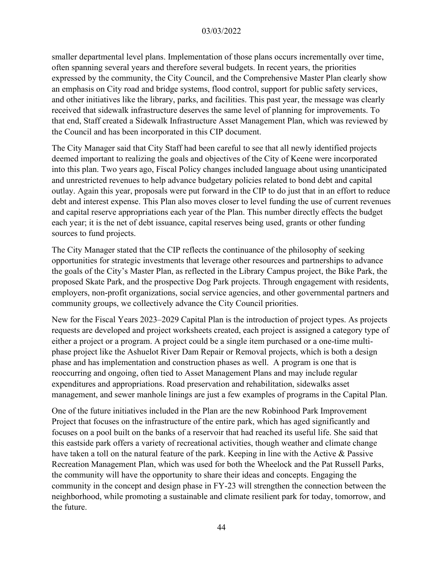smaller departmental level plans. Implementation of those plans occurs incrementally over time, often spanning several years and therefore several budgets. In recent years, the priorities expressed by the community, the City Council, and the Comprehensive Master Plan clearly show an emphasis on City road and bridge systems, flood control, support for public safety services, and other initiatives like the library, parks, and facilities. This past year, the message was clearly received that sidewalk infrastructure deserves the same level of planning for improvements. To that end, Staff created a Sidewalk Infrastructure Asset Management Plan, which was reviewed by the Council and has been incorporated in this CIP document.

The City Manager said that City Staff had been careful to see that all newly identified projects deemed important to realizing the goals and objectives of the City of Keene were incorporated into this plan. Two years ago, Fiscal Policy changes included language about using unanticipated and unrestricted revenues to help advance budgetary policies related to bond debt and capital outlay. Again this year, proposals were put forward in the CIP to do just that in an effort to reduce debt and interest expense. This Plan also moves closer to level funding the use of current revenues and capital reserve appropriations each year of the Plan. This number directly effects the budget each year; it is the net of debt issuance, capital reserves being used, grants or other funding sources to fund projects.

The City Manager stated that the CIP reflects the continuance of the philosophy of seeking opportunities for strategic investments that leverage other resources and partnerships to advance the goals of the City's Master Plan, as reflected in the Library Campus project, the Bike Park, the proposed Skate Park, and the prospective Dog Park projects. Through engagement with residents, employers, non-profit organizations, social service agencies, and other governmental partners and community groups, we collectively advance the City Council priorities.

New for the Fiscal Years 2023–2029 Capital Plan is the introduction of project types. As projects requests are developed and project worksheets created, each project is assigned a category type of either a project or a program. A project could be a single item purchased or a one-time multiphase project like the Ashuelot River Dam Repair or Removal projects, which is both a design phase and has implementation and construction phases as well. A program is one that is reoccurring and ongoing, often tied to Asset Management Plans and may include regular expenditures and appropriations. Road preservation and rehabilitation, sidewalks asset management, and sewer manhole linings are just a few examples of programs in the Capital Plan.

One of the future initiatives included in the Plan are the new Robinhood Park Improvement Project that focuses on the infrastructure of the entire park, which has aged significantly and focuses on a pool built on the banks of a reservoir that had reached its useful life. She said that this eastside park offers a variety of recreational activities, though weather and climate change have taken a toll on the natural feature of the park. Keeping in line with the Active & Passive Recreation Management Plan, which was used for both the Wheelock and the Pat Russell Parks, the community will have the opportunity to share their ideas and concepts. Engaging the community in the concept and design phase in FY-23 will strengthen the connection between the neighborhood, while promoting a sustainable and climate resilient park for today, tomorrow, and the future.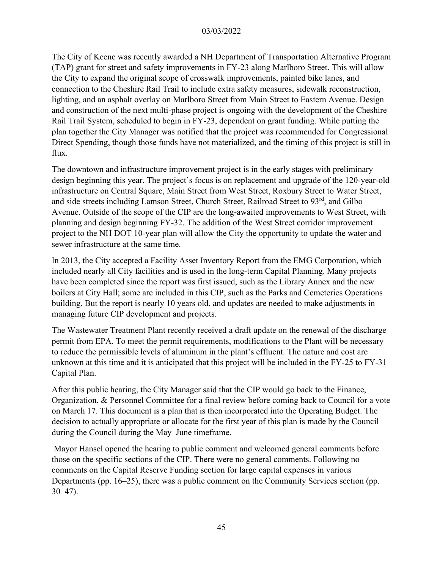The City of Keene was recently awarded a NH Department of Transportation Alternative Program (TAP) grant for street and safety improvements in FY-23 along Marlboro Street. This will allow the City to expand the original scope of crosswalk improvements, painted bike lanes, and connection to the Cheshire Rail Trail to include extra safety measures, sidewalk reconstruction, lighting, and an asphalt overlay on Marlboro Street from Main Street to Eastern Avenue. Design and construction of the next multi-phase project is ongoing with the development of the Cheshire Rail Trail System, scheduled to begin in FY-23, dependent on grant funding. While putting the plan together the City Manager was notified that the project was recommended for Congressional Direct Spending, though those funds have not materialized, and the timing of this project is still in flux.

The downtown and infrastructure improvement project is in the early stages with preliminary design beginning this year. The project's focus is on replacement and upgrade of the 120-year-old infrastructure on Central Square, Main Street from West Street, Roxbury Street to Water Street, and side streets including Lamson Street, Church Street, Railroad Street to 93<sup>rd</sup>, and Gilbo Avenue. Outside of the scope of the CIP are the long-awaited improvements to West Street, with planning and design beginning FY-32. The addition of the West Street corridor improvement project to the NH DOT 10-year plan will allow the City the opportunity to update the water and sewer infrastructure at the same time.

In 2013, the City accepted a Facility Asset Inventory Report from the EMG Corporation, which included nearly all City facilities and is used in the long-term Capital Planning. Many projects have been completed since the report was first issued, such as the Library Annex and the new boilers at City Hall; some are included in this CIP, such as the Parks and Cemeteries Operations building. But the report is nearly 10 years old, and updates are needed to make adjustments in managing future CIP development and projects.

The Wastewater Treatment Plant recently received a draft update on the renewal of the discharge permit from EPA. To meet the permit requirements, modifications to the Plant will be necessary to reduce the permissible levels of aluminum in the plant's effluent. The nature and cost are unknown at this time and it is anticipated that this project will be included in the FY-25 to FY-31 Capital Plan.

After this public hearing, the City Manager said that the CIP would go back to the Finance, Organization, & Personnel Committee for a final review before coming back to Council for a vote on March 17. This document is a plan that is then incorporated into the Operating Budget. The decision to actually appropriate or allocate for the first year of this plan is made by the Council during the Council during the May–June timeframe.

Mayor Hansel opened the hearing to public comment and welcomed general comments before those on the specific sections of the CIP. There were no general comments. Following no comments on the Capital Reserve Funding section for large capital expenses in various Departments (pp. 16–25), there was a public comment on the Community Services section (pp. 30–47).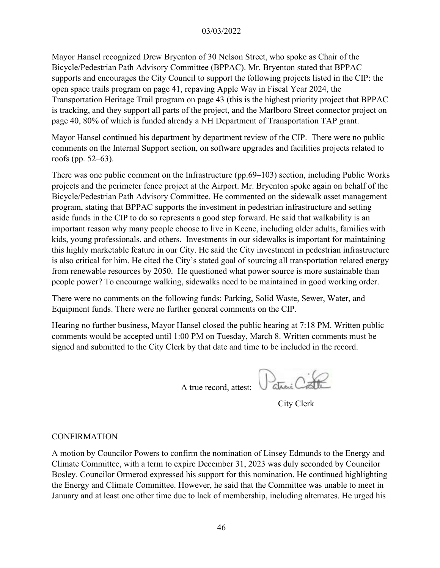Mayor Hansel recognized Drew Bryenton of 30 Nelson Street, who spoke as Chair of the Bicycle/Pedestrian Path Advisory Committee (BPPAC). Mr. Bryenton stated that BPPAC supports and encourages the City Council to support the following projects listed in the CIP: the open space trails program on page 41, repaving Apple Way in Fiscal Year 2024, the Transportation Heritage Trail program on page 43 (this is the highest priority project that BPPAC is tracking, and they support all parts of the project, and the Marlboro Street connector project on page 40, 80% of which is funded already a NH Department of Transportation TAP grant.

Mayor Hansel continued his department by department review of the CIP. There were no public comments on the Internal Support section, on software upgrades and facilities projects related to roofs (pp. 52–63).

There was one public comment on the Infrastructure (pp.69–103) section, including Public Works projects and the perimeter fence project at the Airport. Mr. Bryenton spoke again on behalf of the Bicycle/Pedestrian Path Advisory Committee. He commented on the sidewalk asset management program, stating that BPPAC supports the investment in pedestrian infrastructure and setting aside funds in the CIP to do so represents a good step forward. He said that walkability is an important reason why many people choose to live in Keene, including older adults, families with kids, young professionals, and others. Investments in our sidewalks is important for maintaining this highly marketable feature in our City. He said the City investment in pedestrian infrastructure is also critical for him. He cited the City's stated goal of sourcing all transportation related energy from renewable resources by 2050. He questioned what power source is more sustainable than people power? To encourage walking, sidewalks need to be maintained in good working order.

There were no comments on the following funds: Parking, Solid Waste, Sewer, Water, and Equipment funds. There were no further general comments on the CIP.

Hearing no further business, Mayor Hansel closed the public hearing at 7:18 PM. Written public comments would be accepted until 1:00 PM on Tuesday, March 8. Written comments must be signed and submitted to the City Clerk by that date and time to be included in the record.

atrai C A true record, attest:

City Clerk

#### CONFIRMATION

A motion by Councilor Powers to confirm the nomination of Linsey Edmunds to the Energy and Climate Committee, with a term to expire December 31, 2023 was duly seconded by Councilor Bosley. Councilor Ormerod expressed his support for this nomination. He continued highlighting the Energy and Climate Committee. However, he said that the Committee was unable to meet in January and at least one other time due to lack of membership, including alternates. He urged his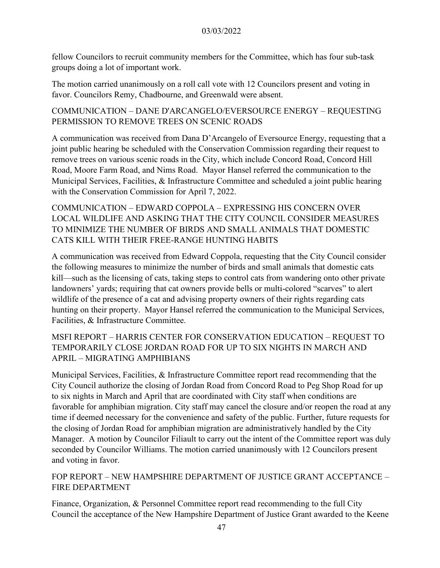fellow Councilors to recruit community members for the Committee, which has four sub-task groups doing a lot of important work.

The motion carried unanimously on a roll call vote with 12 Councilors present and voting in favor. Councilors Remy, Chadbourne, and Greenwald were absent.

COMMUNICATION – DANE D'ARCANGELO/EVERSOURCE ENERGY – REQUESTING PERMISSION TO REMOVE TREES ON SCENIC ROADS

A communication was received from Dana D'Arcangelo of Eversource Energy, requesting that a joint public hearing be scheduled with the Conservation Commission regarding their request to remove trees on various scenic roads in the City, which include Concord Road, Concord Hill Road, Moore Farm Road, and Nims Road. Mayor Hansel referred the communication to the Municipal Services, Facilities, & Infrastructure Committee and scheduled a joint public hearing with the Conservation Commission for April 7, 2022.

COMMUNICATION – EDWARD COPPOLA – EXPRESSING HIS CONCERN OVER LOCAL WILDLIFE AND ASKING THAT THE CITY COUNCIL CONSIDER MEASURES TO MINIMIZE THE NUMBER OF BIRDS AND SMALL ANIMALS THAT DOMESTIC CATS KILL WITH THEIR FREE-RANGE HUNTING HABITS

A communication was received from Edward Coppola, requesting that the City Council consider the following measures to minimize the number of birds and small animals that domestic cats kill—such as the licensing of cats, taking steps to control cats from wandering onto other private landowners' yards; requiring that cat owners provide bells or multi-colored "scarves" to alert wildlife of the presence of a cat and advising property owners of their rights regarding cats hunting on their property. Mayor Hansel referred the communication to the Municipal Services, Facilities, & Infrastructure Committee.

# MSFI REPORT – HARRIS CENTER FOR CONSERVATION EDUCATION – REQUEST TO TEMPORARILY CLOSE JORDAN ROAD FOR UP TO SIX NIGHTS IN MARCH AND APRIL – MIGRATING AMPHIBIANS

Municipal Services, Facilities, & Infrastructure Committee report read recommending that the City Council authorize the closing of Jordan Road from Concord Road to Peg Shop Road for up to six nights in March and April that are coordinated with City staff when conditions are favorable for amphibian migration. City staff may cancel the closure and/or reopen the road at any time if deemed necessary for the convenience and safety of the public. Further, future requests for the closing of Jordan Road for amphibian migration are administratively handled by the City Manager. A motion by Councilor Filiault to carry out the intent of the Committee report was duly seconded by Councilor Williams. The motion carried unanimously with 12 Councilors present and voting in favor.

# FOP REPORT – NEW HAMPSHIRE DEPARTMENT OF JUSTICE GRANT ACCEPTANCE – FIRE DEPARTMENT

Finance, Organization, & Personnel Committee report read recommending to the full City Council the acceptance of the New Hampshire Department of Justice Grant awarded to the Keene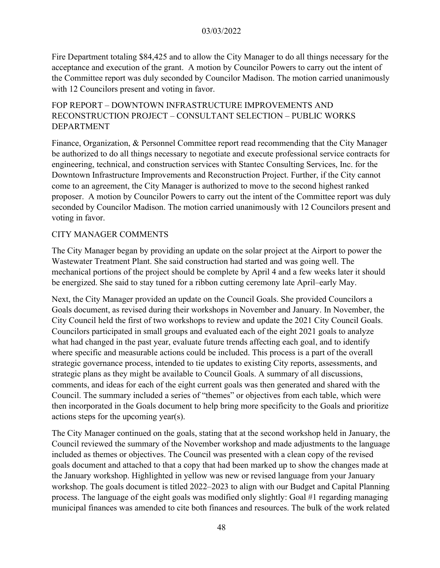Fire Department totaling \$84,425 and to allow the City Manager to do all things necessary for the acceptance and execution of the grant. A motion by Councilor Powers to carry out the intent of the Committee report was duly seconded by Councilor Madison. The motion carried unanimously with 12 Councilors present and voting in favor.

# FOP REPORT – DOWNTOWN INFRASTRUCTURE IMPROVEMENTS AND RECONSTRUCTION PROJECT – CONSULTANT SELECTION – PUBLIC WORKS DEPARTMENT

Finance, Organization, & Personnel Committee report read recommending that the City Manager be authorized to do all things necessary to negotiate and execute professional service contracts for engineering, technical, and construction services with Stantec Consulting Services, Inc. for the Downtown Infrastructure Improvements and Reconstruction Project. Further, if the City cannot come to an agreement, the City Manager is authorized to move to the second highest ranked proposer. A motion by Councilor Powers to carry out the intent of the Committee report was duly seconded by Councilor Madison. The motion carried unanimously with 12 Councilors present and voting in favor.

# CITY MANAGER COMMENTS

The City Manager began by providing an update on the solar project at the Airport to power the Wastewater Treatment Plant. She said construction had started and was going well. The mechanical portions of the project should be complete by April 4 and a few weeks later it should be energized. She said to stay tuned for a ribbon cutting ceremony late April–early May.

Next, the City Manager provided an update on the Council Goals. She provided Councilors a Goals document, as revised during their workshops in November and January. In November, the City Council held the first of two workshops to review and update the 2021 City Council Goals. Councilors participated in small groups and evaluated each of the eight 2021 goals to analyze what had changed in the past year, evaluate future trends affecting each goal, and to identify where specific and measurable actions could be included. This process is a part of the overall strategic governance process, intended to tie updates to existing City reports, assessments, and strategic plans as they might be available to Council Goals. A summary of all discussions, comments, and ideas for each of the eight current goals was then generated and shared with the Council. The summary included a series of "themes" or objectives from each table, which were then incorporated in the Goals document to help bring more specificity to the Goals and prioritize actions steps for the upcoming year(s).

The City Manager continued on the goals, stating that at the second workshop held in January, the Council reviewed the summary of the November workshop and made adjustments to the language included as themes or objectives. The Council was presented with a clean copy of the revised goals document and attached to that a copy that had been marked up to show the changes made at the January workshop. Highlighted in yellow was new or revised language from your January workshop. The goals document is titled 2022–2023 to align with our Budget and Capital Planning process. The language of the eight goals was modified only slightly: Goal #1 regarding managing municipal finances was amended to cite both finances and resources. The bulk of the work related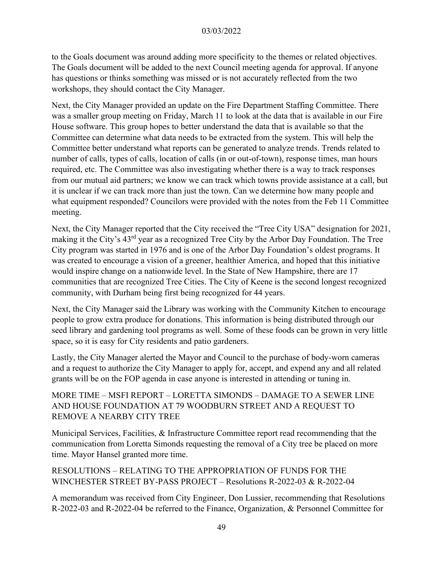to the Goals document was around adding more specificity to the themes or related objectives. The Goals document will be added to the next Council meeting agenda for approval. If anyone has questions or thinks something was missed or is not accurately reflected from the two workshops, they should contact the City Manager.

Next, the City Manager provided an update on the Fire Department Staffing Committee. There was a smaller group meeting on Friday, March 11 to look at the data that is available in our Fire House software. This group hopes to better understand the data that is available so that the Committee can determine what data needs to be extracted from the system. This will help the Committee better understand what reports can be generated to analyze trends. Trends related to number of calls, types of calls, location of calls (in or out-of-town), response times, man hours required, etc. The Committee was also investigating whether there is a way to track responses from our mutual aid partners; we know we can track which towns provide assistance at a call, but it is unclear if we can track more than just the town. Can we determine how many people and what equipment responded? Councilors were provided with the notes from the Feb 11 Committee meeting.

Next, the City Manager reported that the City received the "Tree City USA" designation for 2021, making it the City's 43rd year as a recognized Tree City by the Arbor Day Foundation. The Tree City program was started in 1976 and is one of the Arbor Day Foundation's oldest programs. It was created to encourage a vision of a greener, healthier America, and hoped that this initiative would inspire change on a nationwide level. In the State of New Hampshire, there are 17 communities that are recognized Tree Cities. The City of Keene is the second longest recognized community, with Durham being first being recognized for 44 years.

Next, the City Manager said the Library was working with the Community Kitchen to encourage people to grow extra produce for donations. This information is being distributed through our seed library and gardening tool programs as well. Some of these foods can be grown in very little space, so it is easy for City residents and patio gardeners.

Lastly, the City Manager alerted the Mayor and Council to the purchase of body-worn cameras and a request to authorize the City Manager to apply for, accept, and expend any and all related grants will be on the FOP agenda in case anyone is interested in attending or tuning in.

# MORE TIME – MSFI REPORT – LORETTA SIMONDS – DAMAGE TO A SEWER LINE AND HOUSE FOUNDATION AT 79 WOODBURN STREET AND A REQUEST TO REMOVE A NEARBY CITY TREE

Municipal Services, Facilities, & Infrastructure Committee report read recommending that the communication from Loretta Simonds requesting the removal of a City tree be placed on more time. Mayor Hansel granted more time.

### RESOLUTIONS – RELATING TO THE APPROPRIATION OF FUNDS FOR THE WINCHESTER STREET BY-PASS PROJECT – Resolutions R-2022-03 & R-2022-04

A memorandum was received from City Engineer, Don Lussier, recommending that Resolutions R-2022-03 and R-2022-04 be referred to the Finance, Organization, & Personnel Committee for